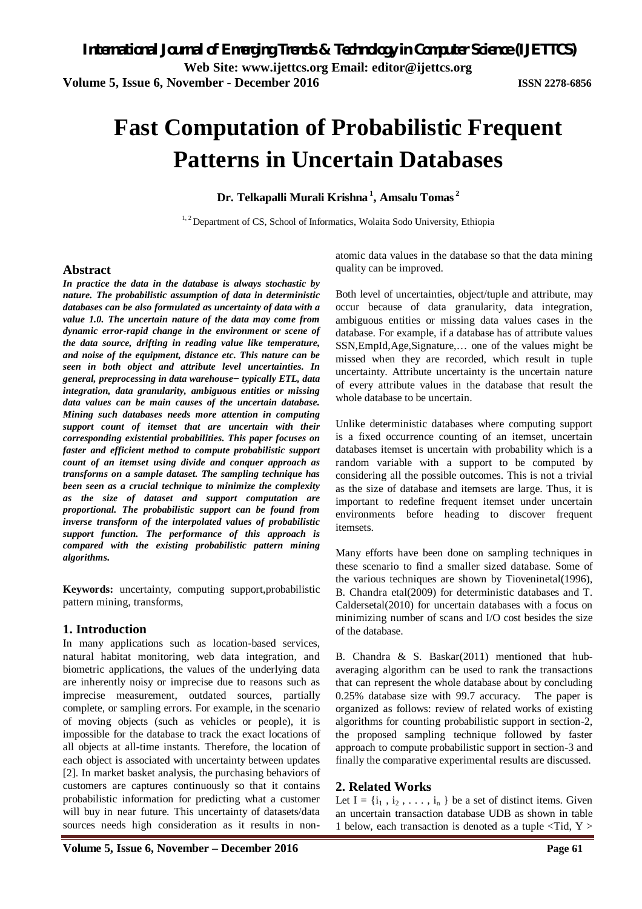# **Fast Computation of Probabilistic Frequent Patterns in Uncertain Databases**

**Dr. Telkapalli Murali Krishna <sup>1</sup> , Amsalu Tomas <sup>2</sup>**

<sup>1, 2</sup> Department of CS, School of Informatics, Wolaita Sodo University, Ethiopia

#### **Abstract**

*In practice the data in the database is always stochastic by nature. The probabilistic assumption of data in deterministic databases can be also formulated as uncertainty of data with a value 1.0. The uncertain nature of the data may come from dynamic error-rapid change in the environment or scene of the data source, drifting in reading value like temperature, and noise of the equipment, distance etc. This nature can be seen in both object and attribute level uncertainties. In general, preprocessing in data warehouse− typically ETL, data integration, data granularity, ambiguous entities or missing data values can be main causes of the uncertain database. Mining such databases needs more attention in computing support count of itemset that are uncertain with their corresponding existential probabilities. This paper focuses on faster and efficient method to compute probabilistic support count of an itemset using divide and conquer approach as transforms on a sample dataset. The sampling technique has been seen as a crucial technique to minimize the complexity as the size of dataset and support computation are proportional. The probabilistic support can be found from inverse transform of the interpolated values of probabilistic support function. The performance of this approach is compared with the existing probabilistic pattern mining algorithms.*

**Keywords:** uncertainty, computing support,probabilistic pattern mining, transforms,

# **1. Introduction**

In many applications such as location-based services, natural habitat monitoring, web data integration, and biometric applications, the values of the underlying data are inherently noisy or imprecise due to reasons such as imprecise measurement, outdated sources, partially complete, or sampling errors. For example, in the scenario of moving objects (such as vehicles or people), it is impossible for the database to track the exact locations of all objects at all-time instants. Therefore, the location of each object is associated with uncertainty between updates [2]. In market basket analysis, the purchasing behaviors of customers are captures continuously so that it contains probabilistic information for predicting what a customer will buy in near future. This uncertainty of datasets/data sources needs high consideration as it results in nonatomic data values in the database so that the data mining quality can be improved.

Both level of uncertainties, object/tuple and attribute, may occur because of data granularity, data integration, ambiguous entities or missing data values cases in the database. For example, if a database has of attribute values SSN,EmpId,Age,Signature,… one of the values might be missed when they are recorded, which result in tuple uncertainty. Attribute uncertainty is the uncertain nature of every attribute values in the database that result the whole database to be uncertain.

Unlike deterministic databases where computing support is a fixed occurrence counting of an itemset, uncertain databases itemset is uncertain with probability which is a random variable with a support to be computed by considering all the possible outcomes. This is not a trivial as the size of database and itemsets are large. Thus, it is important to redefine frequent itemset under uncertain environments before heading to discover frequent itemsets.

Many efforts have been done on sampling techniques in these scenario to find a smaller sized database. Some of the various techniques are shown by Tioveninetal(1996), B. Chandra etal(2009) for deterministic databases and T. Caldersetal(2010) for uncertain databases with a focus on minimizing number of scans and I/O cost besides the size of the database.

B. Chandra & S. Baskar(2011) mentioned that hubaveraging algorithm can be used to rank the transactions that can represent the whole database about by concluding 0.25% database size with 99.7 accuracy. The paper is organized as follows: review of related works of existing algorithms for counting probabilistic support in section-2, the proposed sampling technique followed by faster approach to compute probabilistic support in section-3 and finally the comparative experimental results are discussed.

# **2. Related Works**

Let  $I = \{i_1, i_2, \ldots, i_n\}$  be a set of distinct items. Given an uncertain transaction database UDB as shown in table 1 below, each transaction is denoted as a tuple <Tid, Y >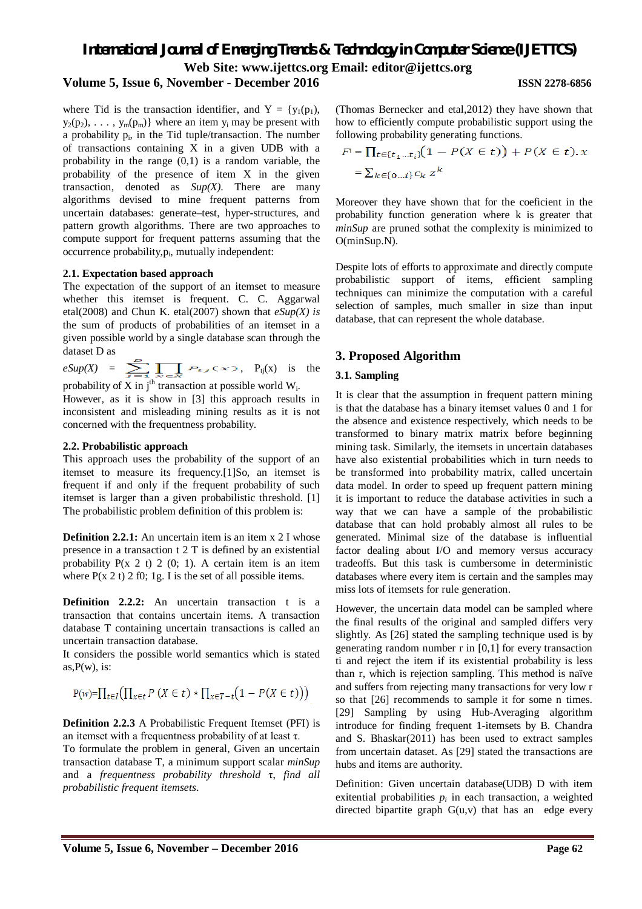# *International Journal of Emerging Trends & Technology in Computer Science (IJETTCS)* **Web Site: www.ijettcs.org Email: editor@ijettcs.org**

# **Volume 5, Issue 6, November - December 2016 ISSN 2278-6856**

where Tid is the transaction identifier, and  $Y = \{y_1(p_1),$  $y_2(p_2), \ldots, y_m(p_m)$  where an item  $y_i$  may be present with a probability  $p_i$ , in the Tid tuple/transaction. The number of transactions containing X in a given UDB with a probability in the range (0,1) is a random variable, the probability of the presence of item X in the given transaction, denoted as *Sup(X)*. There are many algorithms devised to mine frequent patterns from uncertain databases: generate–test, hyper-structures, and pattern growth algorithms. There are two approaches to compute support for frequent patterns assuming that the occurrence probability, p<sub>i</sub>, mutually independent:

#### **2.1. Expectation based approach**

The expectation of the support of an itemset to measure whether this itemset is frequent. C. C. Aggarwal etal(2008) and Chun K. etal(2007) shown that *eSup(X) is*  the sum of products of probabilities of an itemset in a given possible world by a single database scan through the dataset D as

 $e\text{Sup}(X) = \sum \prod P_{\text{f}}(x)$ ,  $P_{\text{tj}}(x)$  is the probability of X in  $j^{\text{th}}$  transaction at possible world W<sub>i</sub>.

However, as it is show in [3] this approach results in inconsistent and misleading mining results as it is not concerned with the frequentness probability.

#### **2.2. Probabilistic approach**

This approach uses the probability of the support of an itemset to measure its frequency.[1]So, an itemset is frequent if and only if the frequent probability of such itemset is larger than a given probabilistic threshold. [1] The probabilistic problem definition of this problem is:

**Definition 2.2.1:** An uncertain item is an item x 2 I whose presence in a transaction t 2 T is defined by an existential probability  $P(x 2 t) 2 (0; 1)$ . A certain item is an item where  $P(x 2 t) 2 f0$ ; 1g. I is the set of all possible items.

**Definition 2.2.2:** An uncertain transaction t is a transaction that contains uncertain items. A transaction database T containing uncertain transactions is called an uncertain transaction database.

It considers the possible world semantics which is stated as, $P(w)$ , is:

$$
P(w) = \prod_{t \in I} \left( \prod_{x \in t} P\left(X \in t\right) * \prod_{x \in T - t} \left(1 - P(X \in t)\right) \right)
$$

**Definition 2.2.3** A Probabilistic Frequent Itemset (PFI) is an itemset with a frequentness probability of at least τ.

To formulate the problem in general, Given an uncertain transaction database T, a minimum support scalar *minSup* and a *frequentness probability threshold* τ, *find all probabilistic frequent itemsets*.

(Thomas Bernecker and etal,2012) they have shown that how to efficiently compute probabilistic support using the following probability generating functions.

$$
F^{i} = \prod_{t \in \{t_1 \dots t_i\}} (1 - P(X \in t)) + P(X \in t).x
$$
  
=  $\sum_{k \in \{0 \dots t\}} c_k z^k$ 

Moreover they have shown that for the coeficient in the probability function generation where k is greater that *minSup* are pruned sothat the complexity is minimized to O(minSup.N).

Despite lots of efforts to approximate and directly compute probabilistic support of items, efficient sampling techniques can minimize the computation with a careful selection of samples, much smaller in size than input database, that can represent the whole database.

# **3. Proposed Algorithm**

#### **3.1. Sampling**

It is clear that the assumption in frequent pattern mining is that the database has a binary itemset values 0 and 1 for the absence and existence respectively, which needs to be transformed to binary matrix matrix before beginning mining task. Similarly, the itemsets in uncertain databases have also existential probabilities which in turn needs to be transformed into probability matrix, called uncertain data model. In order to speed up frequent pattern mining it is important to reduce the database activities in such a way that we can have a sample of the probabilistic database that can hold probably almost all rules to be generated. Minimal size of the database is influential factor dealing about I/O and memory versus accuracy tradeoffs. But this task is cumbersome in deterministic databases where every item is certain and the samples may miss lots of itemsets for rule generation.

However, the uncertain data model can be sampled where the final results of the original and sampled differs very slightly. As [26] stated the sampling technique used is by generating random number r in [0,1] for every transaction ti and reject the item if its existential probability is less than r, which is rejection sampling. This method is naïve and suffers from rejecting many transactions for very low r so that [26] recommends to sample it for some n times. [29] Sampling by using Hub-Averaging algorithm introduce for finding frequent 1-itemsets by B. Chandra and S. Bhaskar(2011) has been used to extract samples from uncertain dataset. As [29] stated the transactions are hubs and items are authority.

Definition: Given uncertain database(UDB) D with item exitential probabilities  $p_i$  in each transaction, a weighted directed bipartite graph  $G(u,v)$  that has an edge every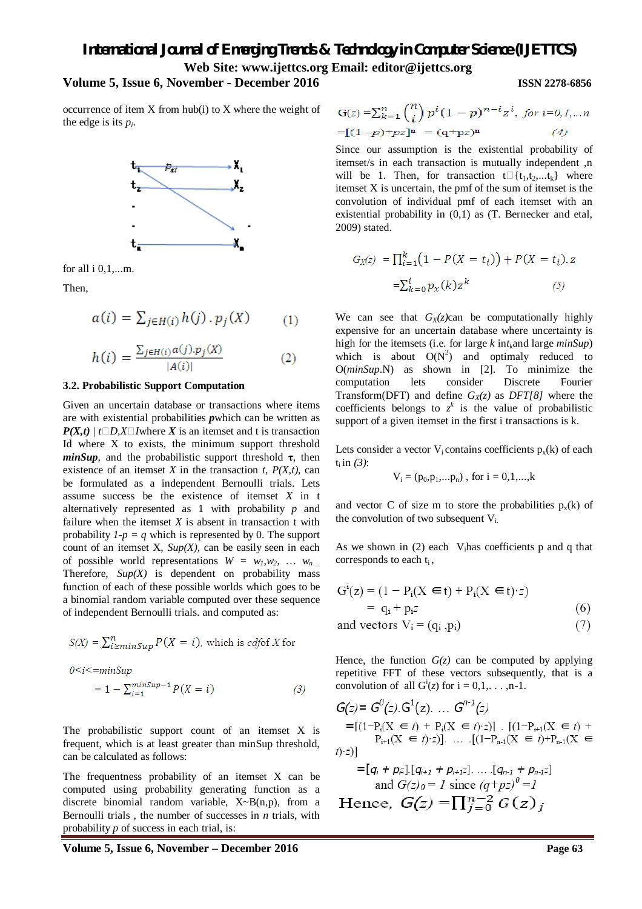# *International Journal of Emerging Trends & Technology in Computer Science (IJETTCS)* **Web Site: www.ijettcs.org Email: editor@ijettcs.org**

# **Volume 5, Issue 6, November - December 2016 ISSN 2278-6856**

occurrence of item X from hub(i) to X where the weight of the edge is its *p<sup>i</sup>* .



for all i 0,1,...m.

Then,

$$
a(i) = \sum_{j \in H(i)} h(j) \cdot p_j(X) \qquad (1)
$$

$$
h(i) = \frac{\sum_{j \in H(i)} a(j) \cdot p_j(X)}{|A(i)|} \tag{2}
$$

#### **3.2. Probabilistic Support Computation**

Given an uncertain database or transactions where items are with existential probabilities *p*which can be written as  $P(X,t)$  |  $t \Box D$ ,  $X \Box I$  where  $X$  is an itemset and t is transaction Id where X to exists, the minimum support threshold  $minSup$ , and the probabilistic support threshold  $\tau$ , then existence of an itemset *X* in the transaction *t, P(X,t),* can be formulated as a independent Bernoulli trials. Lets assume success be the existence of itemset *X* in t alternatively represented as 1 with probability *p* and failure when the itemset  $X$  is absent in transaction  $t$  with probability  $I-p = q$  which is represented by 0. The support count of an itemset X, *Sup(X),* can be easily seen in each of possible world representations  $W = w_l, w_2, \ldots, w_n$ . Therefore,  $\text{Sup}(X)$  is dependent on probability mass function of each of these possible worlds which goes to be a binomial random variable computed over these sequence of independent Bernoulli trials. and computed as:

$$
S(X) = \sum_{i \ge minSup}^{n} P(X = i), \text{ which is } cdf \text{ of } X \text{ for}
$$
  

$$
0 < i < = minSup
$$
  

$$
= 1 - \sum_{i=1}^{minSup-1} P(X = i)
$$
 (3)

The probabilistic support count of an itemset X is frequent, which is at least greater than minSup threshold, can be calculated as follows:

The frequentness probability of an itemset X can be computed using probability generating function as a discrete binomial random variable, X~B(n,p), from a Bernoulli trials , the number of successes in *n* trials, with probability *p* of success in each trial, is:

 $G(z) = \sum_{k=1}^{n} {n \choose i} p^{i} (1-p)^{n-i} z^{i},$  for  $i=0,1,...n$  $=[(1-p)+pz]^n = (q+pz)^n$ 

Since our assumption is the existential probability of itemset/s in each transaction is mutually independent ,n will be 1. Then, for transaction  $t[f_1,t_2,...,t_k]$  where itemset X is uncertain, the pmf of the sum of itemset is the convolution of individual pmf of each itemset with an existential probability in (0,1) as (T. Bernecker and etal, 2009) stated.

$$
G_X(z) = \prod_{i=1}^k (1 - P(X = t_i)) + P(X = t_i). z
$$

$$
= \sum_{k=0}^i p_X(k) z^k \qquad (5)
$$

We can see that  $G_X(z)$ can be computationally highly expensive for an uncertain database where uncertainty is high for the itemsets (i.e. for large *k* in*tk*and large *minSup*) which is about  $O(N^2)$  and optimaly reduced to O(*minSup*.N) as shown in [2]. To minimize the computation lets consider Discrete Fourier Transform(DFT) and define *GX(z)* as *DFT[8]* where the coefficients belongs to  $z^k$  is the value of probabilistic support of a given itemset in the first i transactions is k.

Lets consider a vector  $V_i$  contains coefficients  $p_x(k)$  of each  $t_i$  in (3):

$$
V_i = (p_0, p_1, \ldots, p_n)
$$
, for  $i = 0, 1, \ldots, k$ 

and vector C of size m to store the probabilities  $p_x(k)$  of the convolution of two subsequent Vi.

As we shown in  $(2)$  each V<sub>i</sub>has coefficients p and q that corresponds to each  $t_i$ ,

$$
G^{i}(z) = (1 - P_{i}(X \in t) + P_{i}(X \in t) \cdot z)
$$
  
= q<sub>i</sub> + p<sub>i</sub>z (6)

and vectors 
$$
V_i = (q_i, p_i)
$$
 (7)

Hence, the function  $G(z)$  can be computed by applying repetitive FFT of these vectors subsequently, that is a convolution of all  $G^i(z)$  for  $i = 0,1,...,n-1$ .

$$
G(z) = G^{0}(z). G^{1}(z). \dots G^{n-1}(z)
$$
  
\n=  $[(1-P_i(X \in t) + P_i(X \in t) \cdot z)]$ .  $[(1-P_{i+1}(X \in t) + P_{i+1}(X \in t) \cdot z)]$   
\n=  $[q_i + p_iz] \cdot [q_{i+1} + p_{i+1}z] \dots \cdot [q_{n-1} + p_{n-1}z]$   
\nand  $G(z)_{0} = 1$  since  $(q+pz)^{0} = 1$   
\nHence,  $G(z) = \prod_{i=0}^{n-2} G(z)_i$ 

**Volume 5, Issue 6, November – December 2016 Page 63**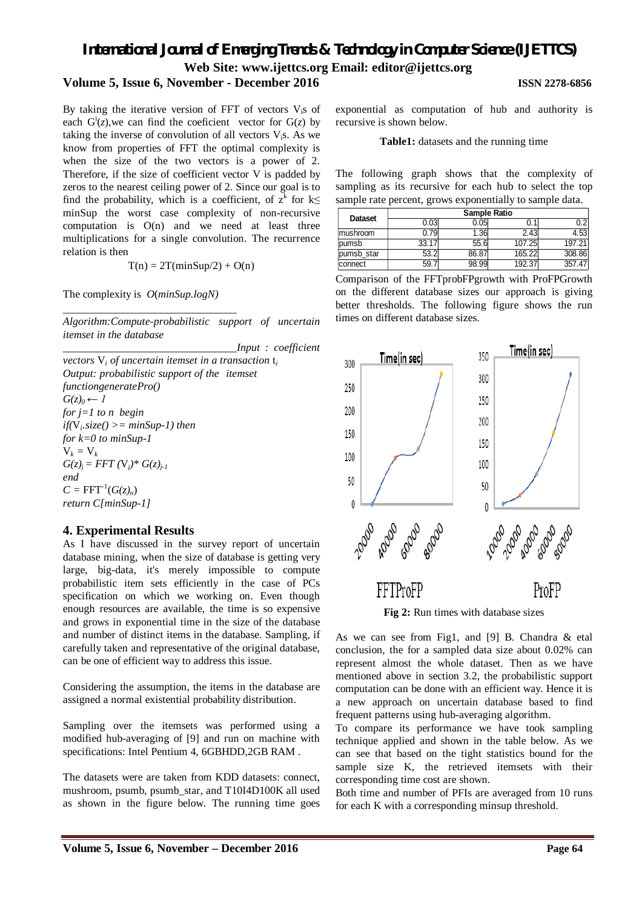# *International Journal of Emerging Trends & Technology in Computer Science (IJETTCS)* **Web Site: www.ijettcs.org Email: editor@ijettcs.org**

# **Volume 5, Issue 6, November - December 2016 ISSN 2278-6856**

#### By taking the iterative version of FFT of vectors V<sub>is</sub> of each  $G^i(z)$ , we can find the coeficient vector for  $G(z)$  by taking the inverse of convolution of all vectors  $V_i$ s. As we know from properties of FFT the optimal complexity is when the size of the two vectors is a power of 2. Therefore, if the size of coefficient vector V is padded by zeros to the nearest ceiling power of 2. Since our goal is to find the probability, which is a coefficient, of  $z^k$  for  $k \leq$ minSup the worst case complexity of non-recursive computation is  $O(n)$  and we need at least three multiplications for a single convolution. The recurrence relation is then

 $T(n) = 2T(minSup/2) + O(n)$ 

The complexity is *O*(*minSup.logN)*

*\_\_\_\_\_\_\_\_\_\_\_\_\_\_\_\_\_\_\_\_\_\_\_\_\_\_\_\_\_\_\_\_*

*Algorithm:Compute-probabilistic support of uncertain itemset in the database*

*\_\_\_\_\_\_\_\_\_\_\_\_\_\_\_\_\_\_\_\_\_\_\_\_\_\_\_\_\_\_\_\_Input : coefficient vectors* V*<sup>i</sup> of uncertain itemset in a transaction* t*<sup>i</sup> Output: probabilistic support of the itemset functiongeneratePro()*  $G(z)$ <sup>0</sup>  $\leftarrow$  1 *for j=1 to n begin if(*V*<sup>i</sup> .size() >= minSup-1) then for k=0 to minSup-1*  $V_k = V_k$  $G(z)$ <sup>*j*</sup> = FFT  $(V_i)^* G(z)$ <sup>*j*-1</sup> *end*  $C = FFT^{-1}(G(z)<sub>n</sub>)$ *return C[minSup-1]*

# **4. Experimental Results**

As I have discussed in the survey report of uncertain database mining, when the size of database is getting very large, big-data, it's merely impossible to compute probabilistic item sets efficiently in the case of PCs specification on which we working on. Even though enough resources are available, the time is so expensive and grows in exponential time in the size of the database and number of distinct items in the database. Sampling, if carefully taken and representative of the original database, can be one of efficient way to address this issue.

Considering the assumption, the items in the database are assigned a normal existential probability distribution.

Sampling over the itemsets was performed using a modified hub-averaging of [9] and run on machine with specifications: Intel Pentium 4, 6GBHDD,2GB RAM .

The datasets were are taken from KDD datasets: connect, mushroom, psumb, psumb star, and T10I4D100K all used as shown in the figure below. The running time goes

exponential as computation of hub and authority is recursive is shown below.

**Table1:** datasets and the running time

The following graph shows that the complexity of sampling as its recursive for each hub to select the top sample rate percent, grows exponentially to sample data.

| <b>Dataset</b> | Sample Ratio |       |        |        |  |  |  |
|----------------|--------------|-------|--------|--------|--|--|--|
|                | 0.03         | ว.05  | 0.1    | 0.2    |  |  |  |
| mushroom       | 0.79         | .36   | 2.43   | 4.53   |  |  |  |
| pumsb          | 33.17        | 55.6  | 107.25 | 197.21 |  |  |  |
| pumsb star     | 53.2         | 86.87 | 165.22 | 308.86 |  |  |  |
| connect        | 59.          | 98.99 | 192.37 | 357.47 |  |  |  |

Comparison of the FFTprobFPgrowth with ProFPGrowth on the different database sizes our approach is giving better thresholds. The following figure shows the run times on different database sizes.



As we can see from Fig1, and [9] B. Chandra & etal conclusion, the for a sampled data size about 0.02% can represent almost the whole dataset. Then as we have mentioned above in section 3.2, the probabilistic support computation can be done with an efficient way. Hence it is a new approach on uncertain database based to find frequent patterns using hub-averaging algorithm.

To compare its performance we have took sampling technique applied and shown in the table below. As we can see that based on the tight statistics bound for the sample size K, the retrieved itemsets with their corresponding time cost are shown.

Both time and number of PFIs are averaged from 10 runs for each K with a corresponding minsup threshold.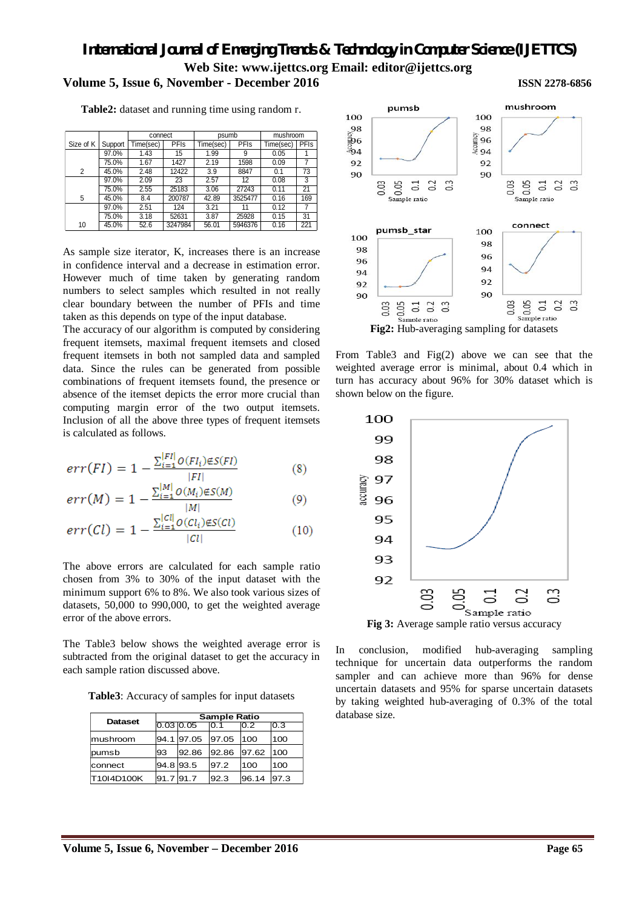# *International Journal of Emerging Trends & Technology in Computer Science (IJETTCS)* **Web Site: www.ijettcs.org Email: editor@ijettcs.org Volume 5, Issue 6, November - December 2016 ISSN 2278-6856**

**Table2:** dataset and running time using random r.

|                |         | connect   |             | psumb     |         | mushroom  |      |
|----------------|---------|-----------|-------------|-----------|---------|-----------|------|
| Size of K      | Support | Time(sec) | <b>PFIs</b> | Time(sec) | PFIs    | Time(sec) | PFIs |
|                | 97.0%   | 1.43      | 15          | 1.99      | 9       | 0.05      |      |
|                | 75.0%   | 1.67      | 1427        | 2.19      | 1598    | 0.09      | 7    |
| $\overline{2}$ | 45.0%   | 2.48      | 12422       | 3.9       | 8847    | 0.1       | 73   |
|                | 97.0%   | 2.09      | 23          | 2.57      | 12      | 0.08      | 3    |
|                | 75.0%   | 2.55      | 25183       | 3.06      | 27243   | 0.11      | 21   |
| 5              | 45.0%   | 8.4       | 200787      | 42.89     | 3525477 | 0.16      | 169  |
|                | 97.0%   | 2.51      | 124         | 3.21      | 11      | 0.12      | 7    |
|                | 75.0%   | 3.18      | 52631       | 3.87      | 25928   | 0.15      | 31   |
| 10             | 45.0%   | 52.6      | 3247984     | 56.01     | 5946376 | 0.16      | 221  |

As sample size iterator, K, increases there is an increase in confidence interval and a decrease in estimation error. However much of time taken by generating random numbers to select samples which resulted in not really clear boundary between the number of PFIs and time taken as this depends on type of the input database.

The accuracy of our algorithm is computed by considering frequent itemsets, maximal frequent itemsets and closed frequent itemsets in both not sampled data and sampled data. Since the rules can be generated from possible combinations of frequent itemsets found, the presence or absence of the itemset depicts the error more crucial than computing margin error of the two output itemsets. Inclusion of all the above three types of frequent itemsets is calculated as follows.

$$
err(FI) = 1 - \frac{\sum_{i=1}^{|FI|} o(FI_i) \notin S(FI)}{|FI|}
$$
 (8)

$$
err(M) = 1 - \frac{\sum_{i=1}^{[M]} O(M_i) \notin S(M)}{|M|}
$$
(9)

$$
err(Cl) = 1 - \frac{\sum_{i=1}^{[Cl]} O(Cl_i) \notin S(Cl)}{|Cl|}
$$
 (10)

The above errors are calculated for each sample ratio chosen from 3% to 30% of the input dataset with the minimum support 6% to 8%. We also took various sizes of datasets, 50,000 to 990,000, to get the weighted average error of the above errors.

The Table3 below shows the weighted average error is subtracted from the original dataset to get the accuracy in each sample ration discussed above.

**Table3**: Accuracy of samples for input datasets

| <b>Dataset</b> | <b>Sample Ratio</b> |                  |       |       |      |  |
|----------------|---------------------|------------------|-------|-------|------|--|
|                | $0.03$ $0.05$       |                  | 0.1   | 0.2   | 0.3  |  |
| mushroom       |                     | 94.1 97.05 97.05 |       | 100   | 100  |  |
| pumsb          | 93                  | 92.86            | 92.86 | 97.62 | 100  |  |
| connect        |                     | 94.8 93.5        | 97.2  | 100   | 100  |  |
| T10I4D100K     | 91.7 91.7           |                  | 92.3  | 96.14 | 97.3 |  |



From Table3 and Fig(2) above we can see that the weighted average error is minimal, about 0.4 which in turn has accuracy about 96% for 30% dataset which is shown below on the figure.



In conclusion, modified hub-averaging sampling technique for uncertain data outperforms the random sampler and can achieve more than 96% for dense uncertain datasets and 95% for sparse uncertain datasets by taking weighted hub-averaging of 0.3% of the total database size.

# **Volume 5, Issue 6, November – December 2016 Page 65**